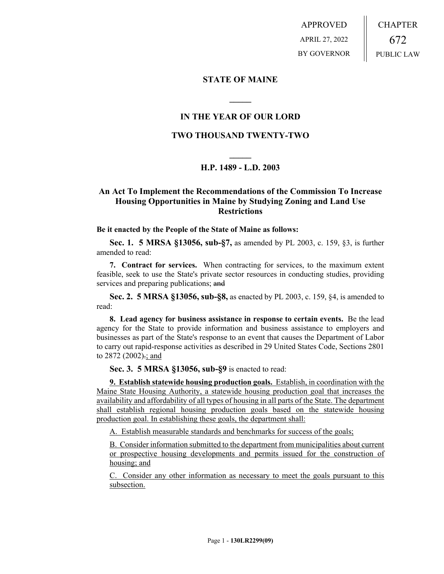APPROVED APRIL 27, 2022 BY GOVERNOR CHAPTER 672 PUBLIC LAW

## **STATE OF MAINE**

## **IN THE YEAR OF OUR LORD**

**\_\_\_\_\_**

## **TWO THOUSAND TWENTY-TWO**

# **\_\_\_\_\_ H.P. 1489 - L.D. 2003**

## **An Act To Implement the Recommendations of the Commission To Increase Housing Opportunities in Maine by Studying Zoning and Land Use Restrictions**

#### **Be it enacted by the People of the State of Maine as follows:**

**Sec. 1. 5 MRSA §13056, sub-§7,** as amended by PL 2003, c. 159, §3, is further amended to read:

**7. Contract for services.** When contracting for services, to the maximum extent feasible, seek to use the State's private sector resources in conducting studies, providing services and preparing publications; and

**Sec. 2. 5 MRSA §13056, sub-§8,** as enacted by PL 2003, c. 159, §4, is amended to read:

**8. Lead agency for business assistance in response to certain events.** Be the lead agency for the State to provide information and business assistance to employers and businesses as part of the State's response to an event that causes the Department of Labor to carry out rapid-response activities as described in 29 United States Code, Sections 2801 to 2872 (2002).; and

**Sec. 3. 5 MRSA §13056, sub-§9** is enacted to read:

**9. Establish statewide housing production goals.** Establish, in coordination with the Maine State Housing Authority, a statewide housing production goal that increases the availability and affordability of all types of housing in all parts of the State. The department shall establish regional housing production goals based on the statewide housing production goal. In establishing these goals, the department shall:

A. Establish measurable standards and benchmarks for success of the goals;

B. Consider information submitted to the department from municipalities about current or prospective housing developments and permits issued for the construction of housing; and

C. Consider any other information as necessary to meet the goals pursuant to this subsection.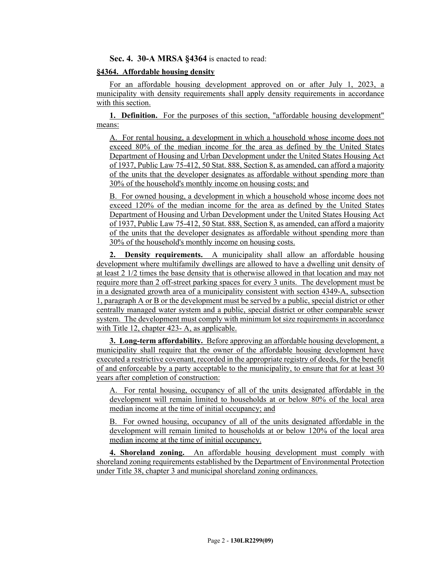**Sec. 4. 30-A MRSA §4364** is enacted to read:

### **§4364. Affordable housing density**

For an affordable housing development approved on or after July 1, 2023, a municipality with density requirements shall apply density requirements in accordance with this section.

**1. Definition.** For the purposes of this section, "affordable housing development" means:

A. For rental housing, a development in which a household whose income does not exceed 80% of the median income for the area as defined by the United States Department of Housing and Urban Development under the United States Housing Act of 1937, Public Law 75-412, 50 Stat. 888, Section 8, as amended, can afford a majority of the units that the developer designates as affordable without spending more than 30% of the household's monthly income on housing costs; and

B. For owned housing, a development in which a household whose income does not exceed 120% of the median income for the area as defined by the United States Department of Housing and Urban Development under the United States Housing Act of 1937, Public Law 75-412, 50 Stat. 888, Section 8, as amended, can afford a majority of the units that the developer designates as affordable without spending more than 30% of the household's monthly income on housing costs.

**2. Density requirements.** A municipality shall allow an affordable housing development where multifamily dwellings are allowed to have a dwelling unit density of at least 2 1/2 times the base density that is otherwise allowed in that location and may not require more than 2 off-street parking spaces for every 3 units. The development must be in a designated growth area of a municipality consistent with section 4349-A, subsection 1, paragraph A or B or the development must be served by a public, special district or other centrally managed water system and a public, special district or other comparable sewer system. The development must comply with minimum lot size requirements in accordance with Title 12, chapter 423- A, as applicable.

**3. Long-term affordability.** Before approving an affordable housing development, a municipality shall require that the owner of the affordable housing development have executed a restrictive covenant, recorded in the appropriate registry of deeds, for the benefit of and enforceable by a party acceptable to the municipality, to ensure that for at least 30 years after completion of construction:

A. For rental housing, occupancy of all of the units designated affordable in the development will remain limited to households at or below 80% of the local area median income at the time of initial occupancy; and

B. For owned housing, occupancy of all of the units designated affordable in the development will remain limited to households at or below 120% of the local area median income at the time of initial occupancy.

**4. Shoreland zoning.** An affordable housing development must comply with shoreland zoning requirements established by the Department of Environmental Protection under Title 38, chapter 3 and municipal shoreland zoning ordinances.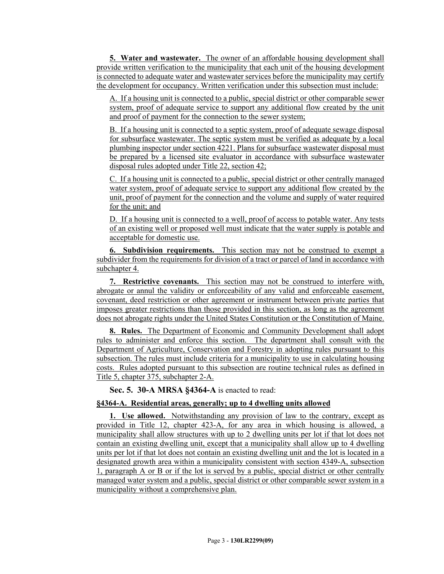**5. Water and wastewater.** The owner of an affordable housing development shall provide written verification to the municipality that each unit of the housing development is connected to adequate water and wastewater services before the municipality may certify the development for occupancy. Written verification under this subsection must include:

A. If a housing unit is connected to a public, special district or other comparable sewer system, proof of adequate service to support any additional flow created by the unit and proof of payment for the connection to the sewer system;

B. If a housing unit is connected to a septic system, proof of adequate sewage disposal for subsurface wastewater. The septic system must be verified as adequate by a local plumbing inspector under section 4221. Plans for subsurface wastewater disposal must be prepared by a licensed site evaluator in accordance with subsurface wastewater disposal rules adopted under Title 22, section 42;

C. If a housing unit is connected to a public, special district or other centrally managed water system, proof of adequate service to support any additional flow created by the unit, proof of payment for the connection and the volume and supply of water required for the unit; and

D. If a housing unit is connected to a well, proof of access to potable water. Any tests of an existing well or proposed well must indicate that the water supply is potable and acceptable for domestic use.

**6. Subdivision requirements.** This section may not be construed to exempt a subdivider from the requirements for division of a tract or parcel of land in accordance with subchapter 4.

**7. Restrictive covenants.** This section may not be construed to interfere with, abrogate or annul the validity or enforceability of any valid and enforceable easement, covenant, deed restriction or other agreement or instrument between private parties that imposes greater restrictions than those provided in this section, as long as the agreement does not abrogate rights under the United States Constitution or the Constitution of Maine.

**8. Rules.** The Department of Economic and Community Development shall adopt rules to administer and enforce this section. The department shall consult with the Department of Agriculture, Conservation and Forestry in adopting rules pursuant to this subsection. The rules must include criteria for a municipality to use in calculating housing costs. Rules adopted pursuant to this subsection are routine technical rules as defined in Title 5, chapter 375, subchapter 2-A.

**Sec. 5. 30-A MRSA §4364-A** is enacted to read:

## **§4364-A. Residential areas, generally; up to 4 dwelling units allowed**

**1. Use allowed.** Notwithstanding any provision of law to the contrary, except as provided in Title 12, chapter 423-A, for any area in which housing is allowed, a municipality shall allow structures with up to 2 dwelling units per lot if that lot does not contain an existing dwelling unit, except that a municipality shall allow up to 4 dwelling units per lot if that lot does not contain an existing dwelling unit and the lot is located in a designated growth area within a municipality consistent with section 4349-A, subsection 1, paragraph A or B or if the lot is served by a public, special district or other centrally managed water system and a public, special district or other comparable sewer system in a municipality without a comprehensive plan.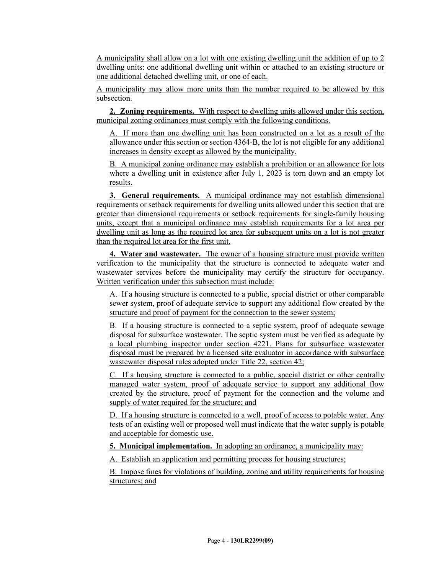A municipality shall allow on a lot with one existing dwelling unit the addition of up to 2 dwelling units: one additional dwelling unit within or attached to an existing structure or one additional detached dwelling unit, or one of each.

A municipality may allow more units than the number required to be allowed by this subsection.

**2. Zoning requirements.** With respect to dwelling units allowed under this section, municipal zoning ordinances must comply with the following conditions.

A. If more than one dwelling unit has been constructed on a lot as a result of the allowance under this section or section 4364-B, the lot is not eligible for any additional increases in density except as allowed by the municipality.

B. A municipal zoning ordinance may establish a prohibition or an allowance for lots where a dwelling unit in existence after July 1, 2023 is torn down and an empty lot results.

**3. General requirements.** A municipal ordinance may not establish dimensional requirements or setback requirements for dwelling units allowed under this section that are greater than dimensional requirements or setback requirements for single-family housing units, except that a municipal ordinance may establish requirements for a lot area per dwelling unit as long as the required lot area for subsequent units on a lot is not greater than the required lot area for the first unit.

**4. Water and wastewater.** The owner of a housing structure must provide written verification to the municipality that the structure is connected to adequate water and wastewater services before the municipality may certify the structure for occupancy. Written verification under this subsection must include:

A. If a housing structure is connected to a public, special district or other comparable sewer system, proof of adequate service to support any additional flow created by the structure and proof of payment for the connection to the sewer system;

B. If a housing structure is connected to a septic system, proof of adequate sewage disposal for subsurface wastewater. The septic system must be verified as adequate by a local plumbing inspector under section 4221. Plans for subsurface wastewater disposal must be prepared by a licensed site evaluator in accordance with subsurface wastewater disposal rules adopted under Title 22, section 42;

C. If a housing structure is connected to a public, special district or other centrally managed water system, proof of adequate service to support any additional flow created by the structure, proof of payment for the connection and the volume and supply of water required for the structure; and

D. If a housing structure is connected to a well, proof of access to potable water. Any tests of an existing well or proposed well must indicate that the water supply is potable and acceptable for domestic use.

**5. Municipal implementation.** In adopting an ordinance, a municipality may:

A. Establish an application and permitting process for housing structures;

B. Impose fines for violations of building, zoning and utility requirements for housing structures; and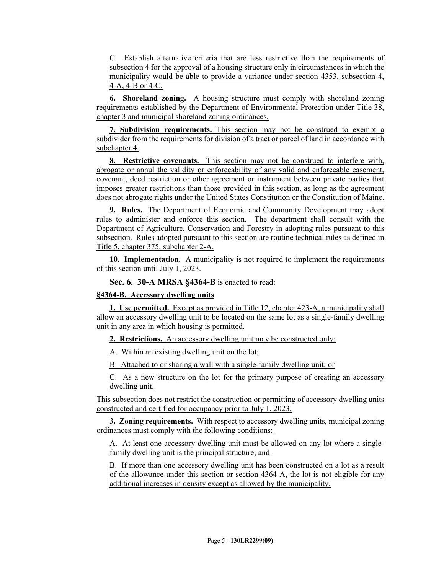C. Establish alternative criteria that are less restrictive than the requirements of subsection 4 for the approval of a housing structure only in circumstances in which the municipality would be able to provide a variance under section 4353, subsection 4, 4-A, 4-B or 4-C.

**6. Shoreland zoning.** A housing structure must comply with shoreland zoning requirements established by the Department of Environmental Protection under Title 38, chapter 3 and municipal shoreland zoning ordinances.

**7. Subdivision requirements.** This section may not be construed to exempt a subdivider from the requirements for division of a tract or parcel of land in accordance with subchapter 4.

**8. Restrictive covenants.** This section may not be construed to interfere with, abrogate or annul the validity or enforceability of any valid and enforceable easement, covenant, deed restriction or other agreement or instrument between private parties that imposes greater restrictions than those provided in this section, as long as the agreement does not abrogate rights under the United States Constitution or the Constitution of Maine.

**9. Rules.** The Department of Economic and Community Development may adopt rules to administer and enforce this section. The department shall consult with the Department of Agriculture, Conservation and Forestry in adopting rules pursuant to this subsection. Rules adopted pursuant to this section are routine technical rules as defined in Title 5, chapter 375, subchapter 2-A.

**10. Implementation.** A municipality is not required to implement the requirements of this section until July 1, 2023.

**Sec. 6. 30-A MRSA §4364-B** is enacted to read:

## **§4364-B. Accessory dwelling units**

**1. Use permitted.** Except as provided in Title 12, chapter 423-A, a municipality shall allow an accessory dwelling unit to be located on the same lot as a single-family dwelling unit in any area in which housing is permitted.

**2. Restrictions.** An accessory dwelling unit may be constructed only:

A. Within an existing dwelling unit on the lot;

B. Attached to or sharing a wall with a single-family dwelling unit; or

C. As a new structure on the lot for the primary purpose of creating an accessory dwelling unit.

This subsection does not restrict the construction or permitting of accessory dwelling units constructed and certified for occupancy prior to July 1, 2023.

**3. Zoning requirements.** With respect to accessory dwelling units, municipal zoning ordinances must comply with the following conditions:

A. At least one accessory dwelling unit must be allowed on any lot where a singlefamily dwelling unit is the principal structure; and

B. If more than one accessory dwelling unit has been constructed on a lot as a result of the allowance under this section or section 4364-A, the lot is not eligible for any additional increases in density except as allowed by the municipality.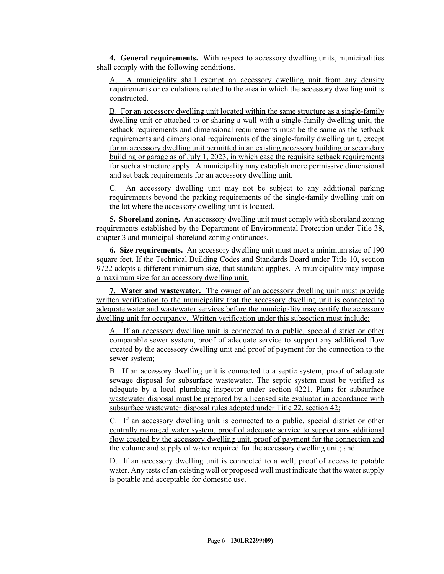**4. General requirements.** With respect to accessory dwelling units, municipalities shall comply with the following conditions.

A. A municipality shall exempt an accessory dwelling unit from any density requirements or calculations related to the area in which the accessory dwelling unit is constructed.

B. For an accessory dwelling unit located within the same structure as a single-family dwelling unit or attached to or sharing a wall with a single-family dwelling unit, the setback requirements and dimensional requirements must be the same as the setback requirements and dimensional requirements of the single-family dwelling unit, except for an accessory dwelling unit permitted in an existing accessory building or secondary building or garage as of July 1, 2023, in which case the requisite setback requirements for such a structure apply. A municipality may establish more permissive dimensional and set back requirements for an accessory dwelling unit.

C. An accessory dwelling unit may not be subject to any additional parking requirements beyond the parking requirements of the single-family dwelling unit on the lot where the accessory dwelling unit is located.

**5. Shoreland zoning.** An accessory dwelling unit must comply with shoreland zoning requirements established by the Department of Environmental Protection under Title 38, chapter 3 and municipal shoreland zoning ordinances.

**6. Size requirements.** An accessory dwelling unit must meet a minimum size of 190 square feet. If the Technical Building Codes and Standards Board under Title 10, section 9722 adopts a different minimum size, that standard applies. A municipality may impose a maximum size for an accessory dwelling unit.

**7. Water and wastewater.** The owner of an accessory dwelling unit must provide written verification to the municipality that the accessory dwelling unit is connected to adequate water and wastewater services before the municipality may certify the accessory dwelling unit for occupancy. Written verification under this subsection must include:

A. If an accessory dwelling unit is connected to a public, special district or other comparable sewer system, proof of adequate service to support any additional flow created by the accessory dwelling unit and proof of payment for the connection to the sewer system;

B. If an accessory dwelling unit is connected to a septic system, proof of adequate sewage disposal for subsurface wastewater. The septic system must be verified as adequate by a local plumbing inspector under section 4221. Plans for subsurface wastewater disposal must be prepared by a licensed site evaluator in accordance with subsurface wastewater disposal rules adopted under Title 22, section 42;

C. If an accessory dwelling unit is connected to a public, special district or other centrally managed water system, proof of adequate service to support any additional flow created by the accessory dwelling unit, proof of payment for the connection and the volume and supply of water required for the accessory dwelling unit; and

D. If an accessory dwelling unit is connected to a well, proof of access to potable water. Any tests of an existing well or proposed well must indicate that the water supply is potable and acceptable for domestic use.